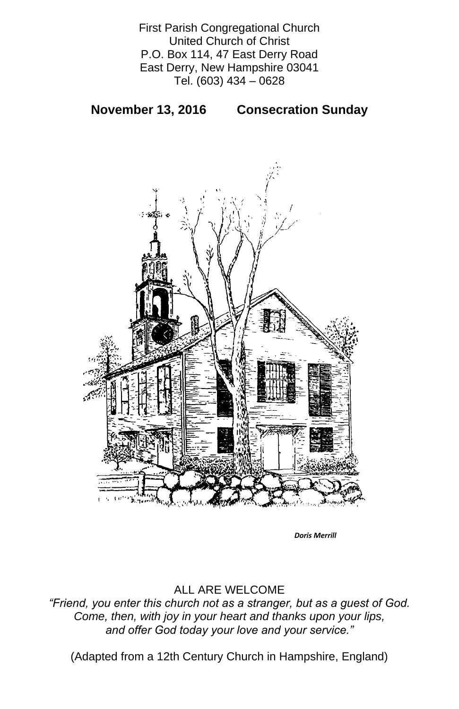First Parish Congregational Church United Church of Christ P.O. Box 114, 47 East Derry Road East Derry, New Hampshire 03041 Tel. (603) 434 – 0628

**November 13, 2016 Consecration Sunday** 



## ALL ARE WELCOME

*"Friend, you enter this church not as a stranger, but as a guest of God. Come, then, with joy in your heart and thanks upon your lips, and offer God today your love and your service."*

(Adapted from a 12th Century Church in Hampshire, England)

*Doris Merrill*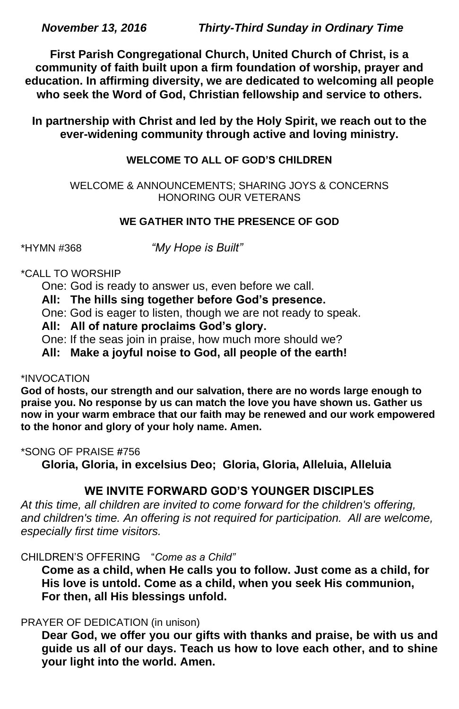*November 13, 2016 Thirty-Third Sunday in Ordinary Time*

**First Parish Congregational Church, United Church of Christ, is a community of faith built upon a firm foundation of worship, prayer and education. In affirming diversity, we are dedicated to welcoming all people who seek the Word of God, Christian fellowship and service to others.**

**In partnership with Christ and led by the Holy Spirit, we reach out to the ever-widening community through active and loving ministry.**

## **WELCOME TO ALL OF GOD'S CHILDREN**

WELCOME & ANNOUNCEMENTS; SHARING JOYS & CONCERNS HONORING OUR VETERANS

## **WE GATHER INTO THE PRESENCE OF GOD**

\*HYMN #368 *"My Hope is Built"*

## \*CALL TO WORSHIP

One: God is ready to answer us, even before we call.

## **All: The hills sing together before God's presence.**

One: God is eager to listen, though we are not ready to speak.

## **All: All of nature proclaims God's glory.**

One: If the seas join in praise, how much more should we?

**All: Make a joyful noise to God, all people of the earth!**

### \*INVOCATION

**God of hosts, our strength and our salvation, there are no words large enough to praise you. No response by us can match the love you have shown us. Gather us now in your warm embrace that our faith may be renewed and our work empowered to the honor and glory of your holy name. Amen.**

## \*SONG OF PRAISE **#**756

**Gloria, Gloria, in excelsius Deo; Gloria, Gloria, Alleluia, Alleluia**

# **WE INVITE FORWARD GOD'S YOUNGER DISCIPLES**

*At this time, all children are invited to come forward for the children's offering,*  and children's time. An offering is not required for participation. All are welcome, *especially first time visitors.*

#### CHILDREN'S OFFERING "*Come as a Child"*

**Come as a child, when He calls you to follow. Just come as a child, for His love is untold. Come as a child, when you seek His communion, For then, all His blessings unfold.**

#### PRAYER OF DEDICATION (in unison)

**Dear God, we offer you our gifts with thanks and praise, be with us and guide us all of our days. Teach us how to love each other, and to shine your light into the world. Amen.**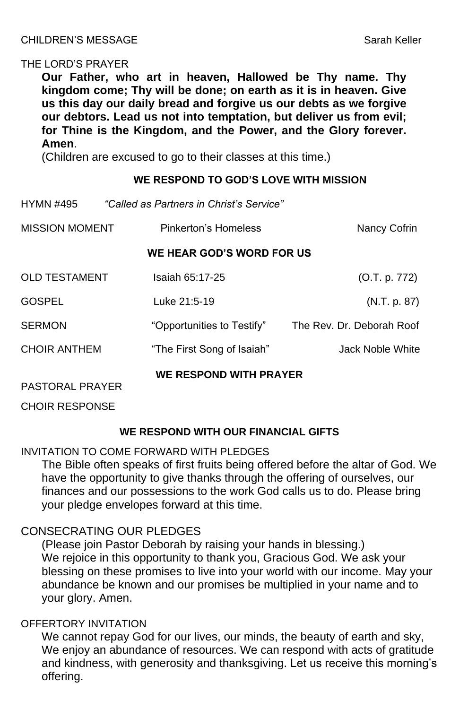### CHILDREN'S MESSAGE Sarah Keller

#### THE LORD'S PRAYER

**Our Father, who art in heaven, Hallowed be Thy name. Thy kingdom come; Thy will be done; on earth as it is in heaven. Give us this day our daily bread and forgive us our debts as we forgive our debtors. Lead us not into temptation, but deliver us from evil; for Thine is the Kingdom, and the Power, and the Glory forever. Amen**.

(Children are excused to go to their classes at this time.)

#### **WE RESPOND TO GOD'S LOVE WITH MISSION**

| <b>HYMN #495</b>                                        | "Called as Partners in Christ's Service" |                           |
|---------------------------------------------------------|------------------------------------------|---------------------------|
| <b>MISSION MOMENT</b>                                   | Pinkerton's Homeless                     | <b>Nancy Cofrin</b>       |
|                                                         | WE HEAR GOD'S WORD FOR US                |                           |
| <b>OLD TESTAMENT</b>                                    | <b>Isaiah 65:17-25</b>                   | (O.T. p. 772)             |
| <b>GOSPEL</b>                                           | Luke 21:5-19                             | (N.T. p. 87)              |
| <b>SERMON</b>                                           | "Opportunities to Testify"               | The Rev. Dr. Deborah Roof |
| <b>CHOIR ANTHEM</b>                                     | "The First Song of Isaiah"               | <b>Jack Noble White</b>   |
| <b>WE RESPOND WITH PRAYER</b><br><b>PASTORAL PRAYER</b> |                                          |                           |

CHOIR RESPONSE

### **WE RESPOND WITH OUR FINANCIAL GIFTS**

INVITATION TO COME FORWARD WITH PLEDGES

The Bible often speaks of first fruits being offered before the altar of God. We have the opportunity to give thanks through the offering of ourselves, our finances and our possessions to the work God calls us to do. Please bring your pledge envelopes forward at this time.

## CONSECRATING OUR PLEDGES

(Please join Pastor Deborah by raising your hands in blessing.) We rejoice in this opportunity to thank you, Gracious God. We ask your blessing on these promises to live into your world with our income. May your abundance be known and our promises be multiplied in your name and to your glory. Amen.

#### OFFERTORY INVITATION

We cannot repay God for our lives, our minds, the beauty of earth and sky, We enjoy an abundance of resources. We can respond with acts of gratitude and kindness, with generosity and thanksgiving. Let us receive this morning's offering.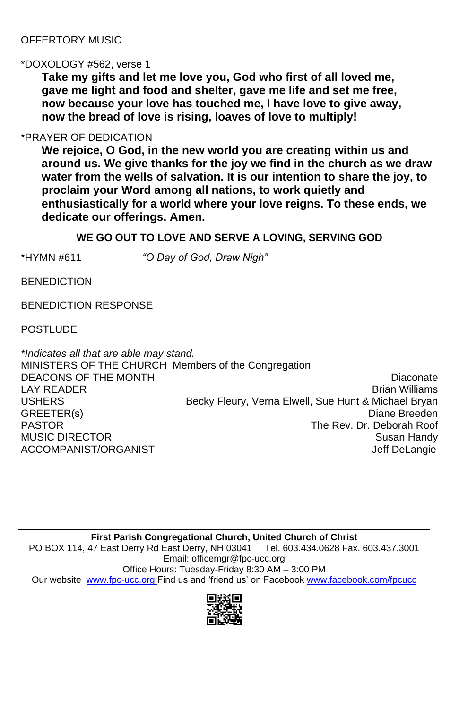## OFFERTORY MUSIC

#### \*DOXOLOGY #562, verse 1

**Take my gifts and let me love you, God who first of all loved me, gave me light and food and shelter, gave me life and set me free, now because your love has touched me, I have love to give away, now the bread of love is rising, loaves of love to multiply!**

## \*PRAYER OF DEDICATION

*\*Indicates all that are able may stand.* MINISTERS OF THE CHURCH Members of the Congregation DEACONS OF THE MONTH DIACONS OF THE MONTH LAY READER **EXAMPLE 2018** The STATE STATE STATE STATE STATE Brian Williams USHERS **Becky Fleury, Verna Elwell, Sue Hunt & Michael Bryan** GREETER(s) Diane Breeden PASTOR The Rev. Dr. Deborah Roof MUSIC DIRECTOR Susan Handy ACCOMPANIST/ORGANIST ACCOMPANIST ACCOMPANIST/ORGANIST

**We rejoice, O God, in the new world you are creating within us and around us. We give thanks for the joy we find in the church as we draw water from the wells of salvation. It is our intention to share the joy, to proclaim your Word among all nations, to work quietly and enthusiastically for a world where your love reigns. To these ends, we dedicate our offerings. Amen.**

## **WE GO OUT TO LOVE AND SERVE A LOVING, SERVING GOD**

\*HYMN #611 *"O Day of God, Draw Nigh"*

**BENEDICTION** 

BENEDICTION RESPONSE

POSTLUDE

**First Parish Congregational Church, United Church of Christ** PO BOX 114, 47 East Derry Rd East Derry, NH 03041 Tel. 603.434.0628 Fax. 603.437.3001 Email: officemgr@fpc-ucc.org Office Hours: Tuesday-Friday 8:30 AM – 3:00 PM Our website [www.fpc-ucc.org](http://www.fpc-ucc.org/) Find us and 'friend us' on Facebook [www.facebook.com/fpcucc](http://www.facebook.com/fpcucc)